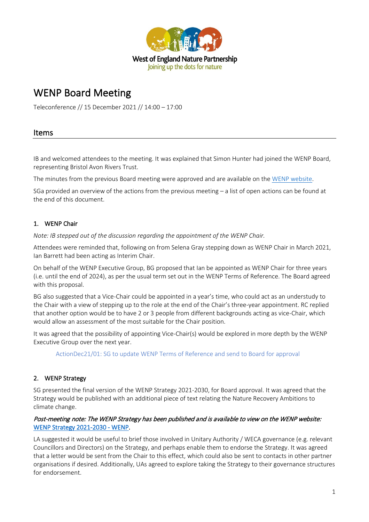

# WENP Board Meeting

Teleconference // 15 December 2021 // 14:00 – 17:00

# Items

IB and welcomed attendees to the meeting. It was explained that Simon Hunter had joined the WENP Board, representing Bristol Avon Rivers Trust.

The minutes from the previous Board meeting were approved and are available on th[e WENP website.](https://www.wenp.org.uk/wp-content/uploads/2021/09/2021.06-WENP-Board-Minutes.pdf)

SGa provided an overview of the actions from the previous meeting – a list of open actions can be found at the end of this document.

# 1. WENP Chair

*Note: IB stepped out of the discussion regarding the appointment of the WENP Chair.* 

Attendees were reminded that, following on from Selena Gray stepping down as WENP Chair in March 2021, Ian Barrett had been acting as Interim Chair.

On behalf of the WENP Executive Group, BG proposed that Ian be appointed as WENP Chair for three years (i.e. until the end of 2024), as per the usual term set out in the WENP Terms of Reference. The Board agreed with this proposal.

BG also suggested that a Vice-Chair could be appointed in a year's time, who could act as an understudy to the Chair with a view of stepping up to the role at the end of the Chair's three-year appointment. RC replied that another option would be to have 2 or 3 people from different backgrounds acting as vice-Chair, which would allow an assessment of the most suitable for the Chair position.

It was agreed that the possibility of appointing Vice-Chair(s) would be explored in more depth by the WENP Executive Group over the next year.

ActionDec21/01: SG to update WENP Terms of Reference and send to Board for approval

## 2. WENP Strategy

SG presented the final version of the WENP Strategy 2021-2030, for Board approval. It was agreed that the Strategy would be published with an additional piece of text relating the Nature Recovery Ambitions to climate change.

#### Post-meeting note: The WENP Strategy has been published and is available to view on the WENP website: [WENP Strategy 2021-2030 - WENP.](https://www.wenp.org.uk/strategy/)

LA suggested it would be useful to brief those involved in Unitary Authority / WECA governance (e.g. relevant Councillors and Directors) on the Strategy, and perhaps enable them to endorse the Strategy. It was agreed that a letter would be sent from the Chair to this effect, which could also be sent to contacts in other partner organisations if desired. Additionally, UAs agreed to explore taking the Strategy to their governance structures for endorsement.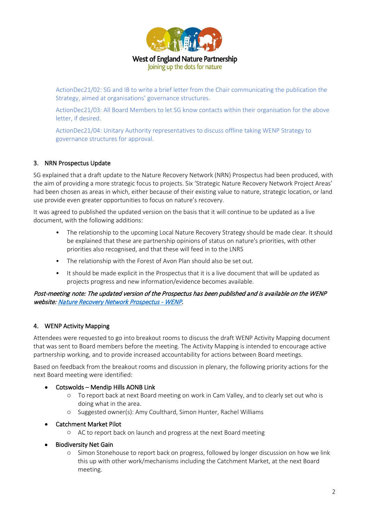

**West of England Nature Partnership** Joining up the dots for nature

ActionDec21/02: SG and IB to write a brief letter from the Chair communicating the publication the Strategy, aimed at organisations' governance structures.

ActionDec21/03: All Board Members to let SG know contacts within their organisation for the above letter, if desired.

ActionDec21/04: Unitary Authority representatives to discuss offline taking WENP Strategy to governance structures for approval.

#### 3. NRN Prospectus Update

SG explained that a draft update to the Nature Recovery Network (NRN) Prospectus had been produced, with the aim of providing a more strategic focus to projects. Six 'Strategic Nature Recovery Network Project Areas' had been chosen as areas in which, either because of their existing value to nature, strategic location, or land use provide even greater opportunities to focus on nature's recovery.

It was agreed to published the updated version on the basis that it will continue to be updated as a live document, with the following additions:

- The relationship to the upcoming Local Nature Recovery Strategy should be made clear. It should be explained that these are partnership opinions of status on nature's priorities, with other priorities also recognised, and that these will feed in to the LNRS
- The relationship with the Forest of Avon Plan should also be set out.
- It should be made explicit in the Prospectus that it is a live document that will be updated as projects progress and new information/evidence becomes available.

#### Post-meeting note: The updated version of the Prospectus has been published and is available on the WENP website[: Nature Recovery Network Prospectus - WENP.](http://www.wenp.org.uk/nature-recovery-network-prospectus/)

#### 4. WENP Activity Mapping

Attendees were requested to go into breakout rooms to discuss the draft WENP Activity Mapping document that was sent to Board members before the meeting. The Activity Mapping is intended to encourage active partnership working, and to provide increased accountability for actions between Board meetings.

Based on feedback from the breakout rooms and discussion in plenary, the following priority actions for the next Board meeting were identified:

#### • Cotswolds – Mendip Hills AONB Link

- o To report back at next Board meeting on work in Cam Valley, and to clearly set out who is doing what in the area.
- o Suggested owner(s): Amy Coulthard, Simon Hunter, Rachel Williams
- Catchment Market Pilot
	- o AC to report back on launch and progress at the next Board meeting
- Biodiversity Net Gain
	- o Simon Stonehouse to report back on progress, followed by longer discussion on how we link this up with other work/mechanisms including the Catchment Market, at the next Board meeting.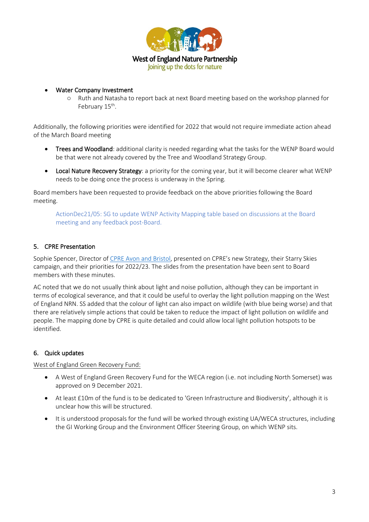

• Water Company Investment

o Ruth and Natasha to report back at next Board meeting based on the workshop planned for February 15<sup>th</sup>.

Additionally, the following priorities were identified for 2022 that would not require immediate action ahead of the March Board meeting

- Trees and Woodland: additional clarity is needed regarding what the tasks for the WENP Board would be that were not already covered by the Tree and Woodland Strategy Group.
- Local Nature Recovery Strategy: a priority for the coming year, but it will become clearer what WENP needs to be doing once the process is underway in the Spring.

Board members have been requested to provide feedback on the above priorities following the Board meeting.

ActionDec21/05: SG to update WENP Activity Mapping table based on discussions at the Board meeting and any feedback post-Board.

### 5. CPRE Presentation

Sophie Spencer, Director o[f CPRE Avon and Bristol,](https://www.cpreavonandbristol.org.uk/) presented on CPRE's new Strategy, their Starry Skies campaign, and their priorities for 2022/23. The slides from the presentation have been sent to Board members with these minutes.

AC noted that we do not usually think about light and noise pollution, although they can be important in terms of ecological severance, and that it could be useful to overlay the light pollution mapping on the West of England NRN. SS added that the colour of light can also impact on wildlife (with blue being worse) and that there are relatively simple actions that could be taken to reduce the impact of light pollution on wildlife and people. The mapping done by CPRE is quite detailed and could allow local light pollution hotspots to be identified.

#### 6. Quick updates

West of England Green Recovery Fund:

- A West of England Green Recovery Fund for the WECA region (i.e. not including North Somerset) was approved on 9 December 2021.
- At least £10m of the fund is to be dedicated to 'Green Infrastructure and Biodiversity', although it is unclear how this will be structured.
- It is understood proposals for the fund will be worked through existing UA/WECA structures, including the GI Working Group and the Environment Officer Steering Group, on which WENP sits.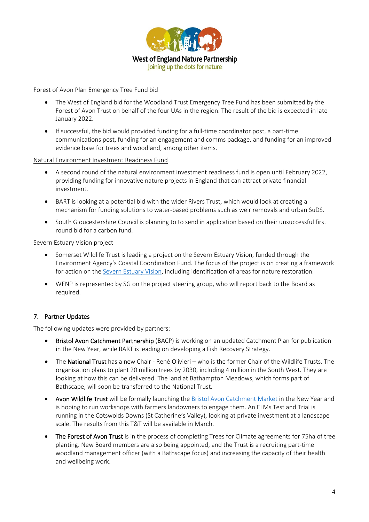

#### Forest of Avon Plan Emergency Tree Fund bid

- The West of England bid for the Woodland Trust Emergency Tree Fund has been submitted by the Forest of Avon Trust on behalf of the four UAs in the region. The result of the bid is expected in late January 2022.
- If successful, the bid would provided funding for a full-time coordinator post, a part-time communications post, funding for an engagement and comms package, and funding for an improved evidence base for trees and woodland, among other items.

#### Natural Environment Investment Readiness Fund

- A second round of the natural environment investment readiness fund is open until February 2022, providing funding for innovative nature projects in England that can attract private financial investment.
- BART is looking at a potential bid with the wider Rivers Trust, which would look at creating a mechanism for funding solutions to water-based problems such as weir removals and urban SuDS.
- South Gloucestershire Council is planning to to send in application based on their unsuccessful first round bid for a carbon fund.

#### Severn Estuary Vision project

- Somerset Wildlife Trust is leading a project on the Severn Estuary Vision, funded through the Environment Agency's Coastal Coordination Fund. The focus of the project is on creating a framework for action on the [Severn Estuary Vision,](http://severnvision.org/) including identification of areas for nature restoration.
- WENP is represented by SG on the project steering group, who will report back to the Board as required.

#### 7. Partner Updates

The following updates were provided by partners:

- Bristol Avon Catchment Partnership (BACP) is working on an updated Catchment Plan for publication in the New Year, while BART is leading on developing a Fish Recovery Strategy.
- The **National Trust** has a new Chair René Olivieri who is the former Chair of the Wildlife Trusts. The organisation plans to plant 20 million trees by 2030, including 4 million in the South West. They are looking at how this can be delivered. The land at Bathampton Meadows, which forms part of Bathscape, will soon be transferred to the National Trust.
- Avon Wildlife Trust will be formally launching th[e Bristol Avon Catchment Market](https://duckduckgo.com/?q=bristol+avon+catchment+market&ia=web) in the New Year and is hoping to run workshops with farmers landowners to engage them. An ELMs Test and Trial is running in the Cotswolds Downs (St Catherine's Valley), looking at private investment at a landscape scale. The results from this T&T will be available in March.
- The Forest of Avon Trust is in the process of completing Trees for Climate agreements for 75ha of tree planting. New Board members are also being appointed, and the Trust is a recruiting part-time woodland management officer (with a Bathscape focus) and increasing the capacity of their health and wellbeing work.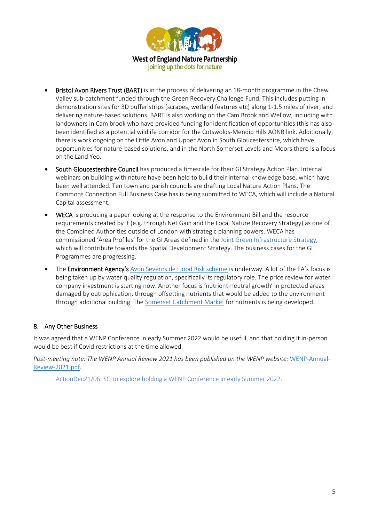

- Bristol Avon Rivers Trust (BART) is in the process of delivering an 18-month programme in the Chew Valley sub-catchment funded through the Green Recovery Challenge Fund. This includes putting in demonstration sites for 3D buffer strips (scrapes, wetland features etc) along 1-1.5 miles of river, and delivering nature-based solutions. BART is also working on the Cam Brook and Wellow, including with landowners in Cam brook who have provided funding for identification of opportunities (this has also been identified as a potential wildlife corridor for the Cotswolds-Mendip Hills AONB link. Additionally, there is work ongoing on the Little Avon and Upper Avon in South Gloucestershire, which have opportunities for nature-based solutions, and in the North Somerset Levels and Moors there is a focus on the Land Yeo.
- South Gloucestershire Council has produced a timescale for their GI Strategy Action Plan. Internal webinars on building with nature have been held to build their internal knowledge base, which have been well attended. Ten town and parish councils are drafting Local Nature Action Plans. The Commons Connection Full Business Case has is being submitted to WECA, which will include a Natural Capital assessment.
- WECA is producing a paper looking at the response to the Environment Bill and the resource requirements created by it (e.g. through Net Gain and the Local Nature Recovery Strategy) as one of the Combined Authorities outside of London with strategic planning powers. WECA has commissioned 'Area Profiles' for the GI Areas defined in the [Joint Green Infrastructure Strategy,](https://www.westofengland-ca.gov.uk/what-we-do/environment/joint-green-infrastructure-strategy/) which will contribute towards the Spatial Development Strategy. The business cases for the GI Programmes are progressing.
- The **Environment Agency's** [Avon Severnside Flood Risk scheme](https://www.asea-flood-ecology.co.uk/) is underway. A lot of the EA's focus is being taken up by water quality regulation, specifically its regulatory role. The price review for water company investment is starting now. Another focus is 'nutrient-neutral growth' in protected areas damaged by eutrophication, through offsetting nutrients that would be added to the environment through additional building. The [Somerset Catchment Market](https://www.somersetcatchmentmarket.org.uk/updates) for nutrients is being developed.

# 8. Any Other Business

It was agreed that a WENP Conference in early Summer 2022 would be useful, and that holding it in-person would be best if Covid restrictions at the time allowed.

*Post-meeting note: The WENP Annual Review 2021 has been published on the WENP website:* [WENP-Annual-](https://www.wenp.org.uk/wp-content/uploads/2021/12/WENP-Annual-Review-2021.pdf)[Review-2021.pdf.](https://www.wenp.org.uk/wp-content/uploads/2021/12/WENP-Annual-Review-2021.pdf)

ActionDec21/06: SG to explore holding a WENP Conference in early Summer 2022.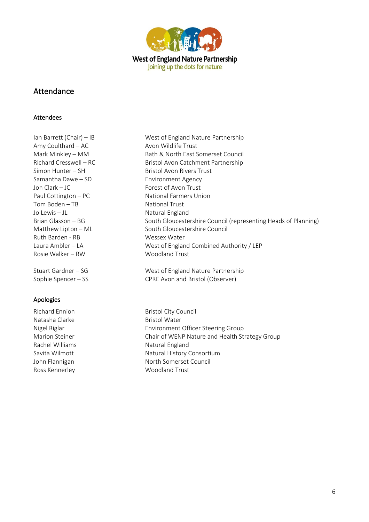

## Attendance

#### Attendees

Ian Barrett (Chair) – IB West of England Nature Partnership Amy Coulthard – AC Avon Wildlife Trust Samantha Dawe – SD Environment Agency Jon Clark – JC Forest of Avon Trust Paul Cottington – PC National Farmers Union Tom Boden – TB National Trust Jo Lewis – JL Natural England Ruth Barden - RB Wessex Water Rosie Walker – RW Woodland Trust

## Apologies

Natasha Clarke **Bristol Water** Bristol Water Rachel Williams Natural England Ross Kennerley Moodland Trust

Mark Minkley – MM Bath & North East Somerset Council Richard Cresswell – RC Bristol Avon Catchment Partnership Simon Hunter – SH Bristol Avon Rivers Trust Brian Glasson – BG South Gloucestershire Council (representing Heads of Planning) Matthew Lipton – ML South Gloucestershire Council Laura Ambler – LA West of England Combined Authority / LEP

Stuart Gardner – SG West of England Nature Partnership Sophie Spencer – SS CPRE Avon and Bristol (Observer)

Richard Ennion Bristol City Council Nigel Riglar Environment Officer Steering Group Marion Steiner **Chair of WENP Nature and Health Strategy Group** Savita Wilmott Natural History Consortium John Flannigan North Somerset Council